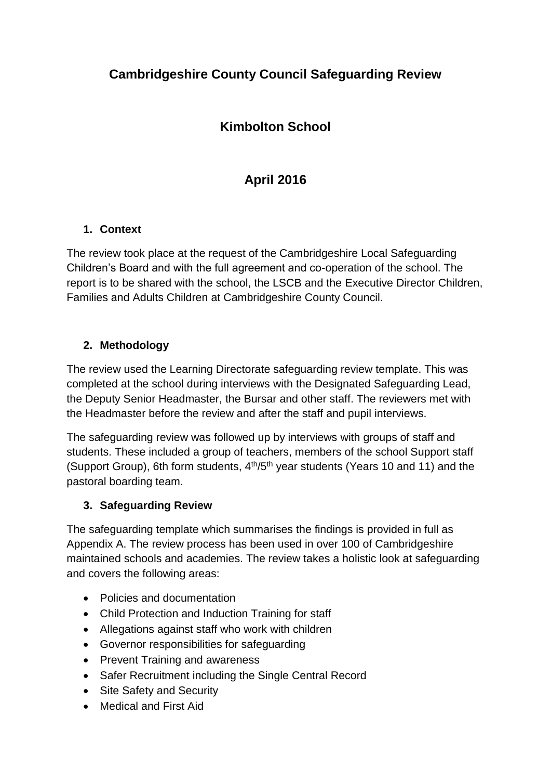# **Cambridgeshire County Council Safeguarding Review**

## **Kimbolton School**

# **April 2016**

### **1. Context**

The review took place at the request of the Cambridgeshire Local Safeguarding Children's Board and with the full agreement and co-operation of the school. The report is to be shared with the school, the LSCB and the Executive Director Children, Families and Adults Children at Cambridgeshire County Council.

### **2. Methodology**

The review used the Learning Directorate safeguarding review template. This was completed at the school during interviews with the Designated Safeguarding Lead, the Deputy Senior Headmaster, the Bursar and other staff. The reviewers met with the Headmaster before the review and after the staff and pupil interviews.

The safeguarding review was followed up by interviews with groups of staff and students. These included a group of teachers, members of the school Support staff (Support Group), 6th form students,  $4<sup>th</sup>/5<sup>th</sup>$  year students (Years 10 and 11) and the pastoral boarding team.

#### **3. Safeguarding Review**

The safeguarding template which summarises the findings is provided in full as Appendix A. The review process has been used in over 100 of Cambridgeshire maintained schools and academies. The review takes a holistic look at safeguarding and covers the following areas:

- Policies and documentation
- Child Protection and Induction Training for staff
- Allegations against staff who work with children
- Governor responsibilities for safeguarding
- Prevent Training and awareness
- Safer Recruitment including the Single Central Record
- Site Safety and Security
- Medical and First Aid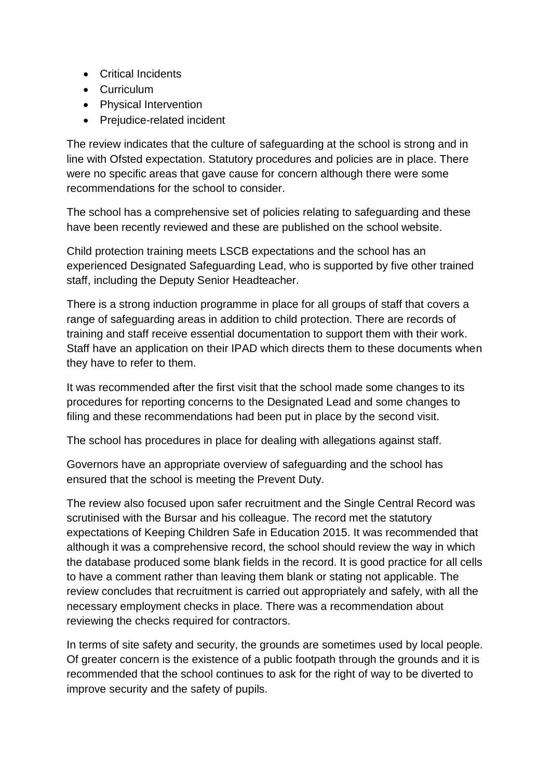- Critical Incidents
- Curriculum
- Physical Intervention
- Prejudice-related incident

The review indicates that the culture of safeguarding at the school is strong and in line with Ofsted expectation. Statutory procedures and policies are in place. There were no specific areas that gave cause for concern although there were some recommendations for the school to consider.

The school has a comprehensive set of policies relating to safeguarding and these have been recently reviewed and these are published on the school website.

Child protection training meets LSCB expectations and the school has an experienced Designated Safeguarding Lead, who is supported by five other trained staff, including the Deputy Senior Headteacher.

There is a strong induction programme in place for all groups of staff that covers a range of safeguarding areas in addition to child protection. There are records of training and staff receive essential documentation to support them with their work. Staff have an application on their IPAD which directs them to these documents when they have to refer to them.

It was recommended after the first visit that the school made some changes to its procedures for reporting concerns to the Designated Lead and some changes to filing and these recommendations had been put in place by the second visit.

The school has procedures in place for dealing with allegations against staff.

Governors have an appropriate overview of safeguarding and the school has ensured that the school is meeting the Prevent Duty.

The review also focused upon safer recruitment and the Single Central Record was scrutinised with the Bursar and his colleague. The record met the statutory expectations of Keeping Children Safe in Education 2015. It was recommended that although it was a comprehensive record, the school should review the way in which the database produced some blank fields in the record. It is good practice for all cells to have a comment rather than leaving them blank or stating not applicable. The review concludes that recruitment is carried out appropriately and safely, with all the necessary employment checks in place. There was a recommendation about reviewing the checks required for contractors.

In terms of site safety and security, the grounds are sometimes used by local people. Of greater concern is the existence of a public footpath through the grounds and it is recommended that the school continues to ask for the right of way to be diverted to improve security and the safety of pupils.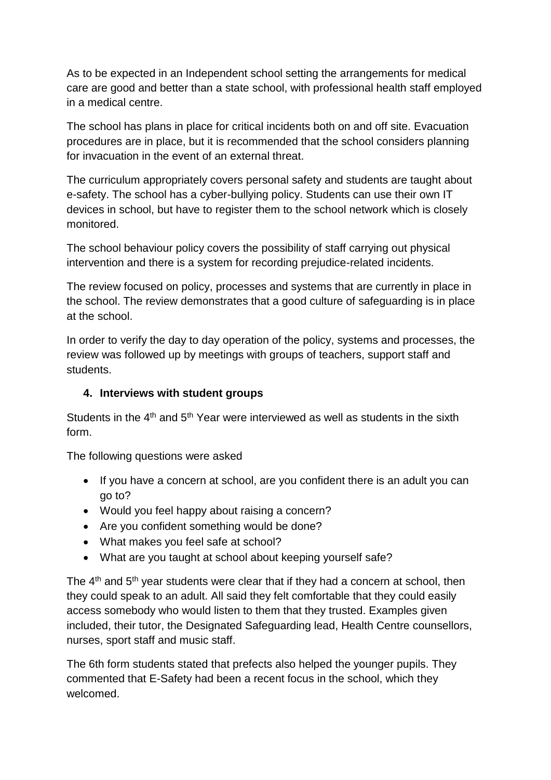As to be expected in an Independent school setting the arrangements for medical care are good and better than a state school, with professional health staff employed in a medical centre.

The school has plans in place for critical incidents both on and off site. Evacuation procedures are in place, but it is recommended that the school considers planning for invacuation in the event of an external threat.

The curriculum appropriately covers personal safety and students are taught about e-safety. The school has a cyber-bullying policy. Students can use their own IT devices in school, but have to register them to the school network which is closely monitored.

The school behaviour policy covers the possibility of staff carrying out physical intervention and there is a system for recording prejudice-related incidents.

The review focused on policy, processes and systems that are currently in place in the school. The review demonstrates that a good culture of safeguarding is in place at the school.

In order to verify the day to day operation of the policy, systems and processes, the review was followed up by meetings with groups of teachers, support staff and students.

#### **4. Interviews with student groups**

Students in the  $4<sup>th</sup>$  and  $5<sup>th</sup>$  Year were interviewed as well as students in the sixth form.

The following questions were asked

- If you have a concern at school, are you confident there is an adult you can go to?
- Would you feel happy about raising a concern?
- Are you confident something would be done?
- What makes you feel safe at school?
- What are you taught at school about keeping yourself safe?

The  $4<sup>th</sup>$  and  $5<sup>th</sup>$  year students were clear that if they had a concern at school, then they could speak to an adult. All said they felt comfortable that they could easily access somebody who would listen to them that they trusted. Examples given included, their tutor, the Designated Safeguarding lead, Health Centre counsellors, nurses, sport staff and music staff.

The 6th form students stated that prefects also helped the younger pupils. They commented that E-Safety had been a recent focus in the school, which they welcomed.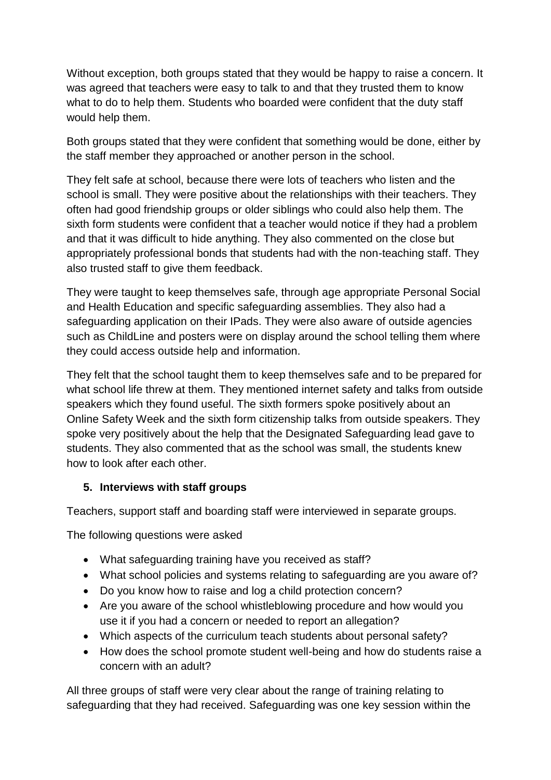Without exception, both groups stated that they would be happy to raise a concern. It was agreed that teachers were easy to talk to and that they trusted them to know what to do to help them. Students who boarded were confident that the duty staff would help them.

Both groups stated that they were confident that something would be done, either by the staff member they approached or another person in the school.

They felt safe at school, because there were lots of teachers who listen and the school is small. They were positive about the relationships with their teachers. They often had good friendship groups or older siblings who could also help them. The sixth form students were confident that a teacher would notice if they had a problem and that it was difficult to hide anything. They also commented on the close but appropriately professional bonds that students had with the non-teaching staff. They also trusted staff to give them feedback.

They were taught to keep themselves safe, through age appropriate Personal Social and Health Education and specific safeguarding assemblies. They also had a safeguarding application on their IPads. They were also aware of outside agencies such as ChildLine and posters were on display around the school telling them where they could access outside help and information.

They felt that the school taught them to keep themselves safe and to be prepared for what school life threw at them. They mentioned internet safety and talks from outside speakers which they found useful. The sixth formers spoke positively about an Online Safety Week and the sixth form citizenship talks from outside speakers. They spoke very positively about the help that the Designated Safeguarding lead gave to students. They also commented that as the school was small, the students knew how to look after each other.

#### **5. Interviews with staff groups**

Teachers, support staff and boarding staff were interviewed in separate groups.

The following questions were asked

- What safeguarding training have you received as staff?
- What school policies and systems relating to safeguarding are you aware of?
- Do you know how to raise and log a child protection concern?
- Are you aware of the school whistleblowing procedure and how would you use it if you had a concern or needed to report an allegation?
- Which aspects of the curriculum teach students about personal safety?
- How does the school promote student well-being and how do students raise a concern with an adult?

All three groups of staff were very clear about the range of training relating to safeguarding that they had received. Safeguarding was one key session within the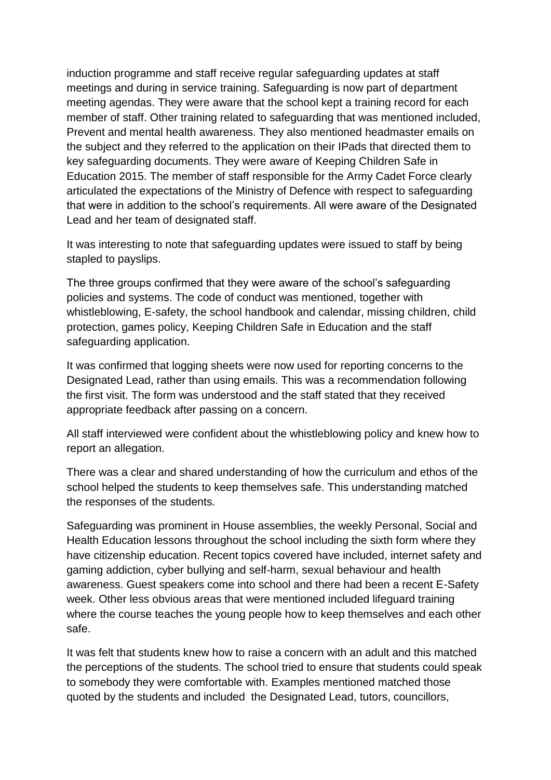induction programme and staff receive regular safeguarding updates at staff meetings and during in service training. Safeguarding is now part of department meeting agendas. They were aware that the school kept a training record for each member of staff. Other training related to safeguarding that was mentioned included, Prevent and mental health awareness. They also mentioned headmaster emails on the subject and they referred to the application on their IPads that directed them to key safeguarding documents. They were aware of Keeping Children Safe in Education 2015. The member of staff responsible for the Army Cadet Force clearly articulated the expectations of the Ministry of Defence with respect to safeguarding that were in addition to the school's requirements. All were aware of the Designated Lead and her team of designated staff.

It was interesting to note that safeguarding updates were issued to staff by being stapled to payslips.

The three groups confirmed that they were aware of the school's safeguarding policies and systems. The code of conduct was mentioned, together with whistleblowing, E-safety, the school handbook and calendar, missing children, child protection, games policy, Keeping Children Safe in Education and the staff safeguarding application.

It was confirmed that logging sheets were now used for reporting concerns to the Designated Lead, rather than using emails. This was a recommendation following the first visit. The form was understood and the staff stated that they received appropriate feedback after passing on a concern.

All staff interviewed were confident about the whistleblowing policy and knew how to report an allegation.

There was a clear and shared understanding of how the curriculum and ethos of the school helped the students to keep themselves safe. This understanding matched the responses of the students.

Safeguarding was prominent in House assemblies, the weekly Personal, Social and Health Education lessons throughout the school including the sixth form where they have citizenship education. Recent topics covered have included, internet safety and gaming addiction, cyber bullying and self-harm, sexual behaviour and health awareness. Guest speakers come into school and there had been a recent E-Safety week. Other less obvious areas that were mentioned included lifeguard training where the course teaches the young people how to keep themselves and each other safe.

It was felt that students knew how to raise a concern with an adult and this matched the perceptions of the students. The school tried to ensure that students could speak to somebody they were comfortable with. Examples mentioned matched those quoted by the students and included the Designated Lead, tutors, councillors,